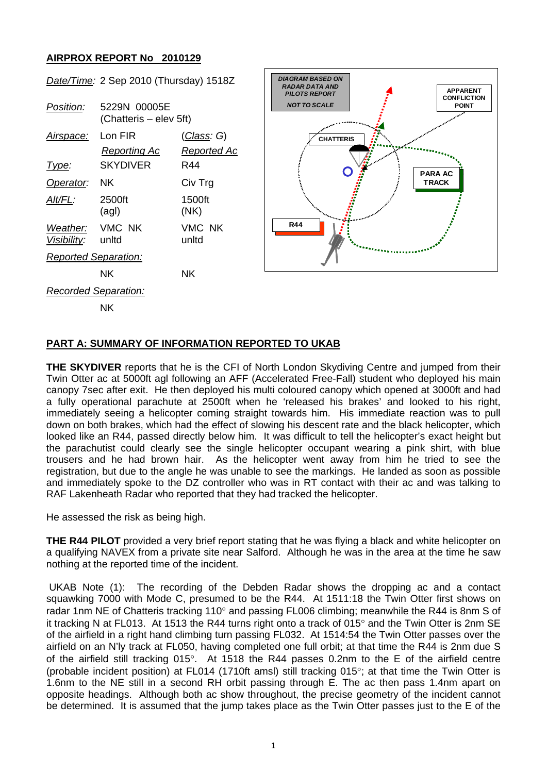## **AIRPROX REPORT No 2010129**

| Position:                            | 5229N 00005E<br>(Chatteris – elev 5ft) |                                   |
|--------------------------------------|----------------------------------------|-----------------------------------|
| <u>Airspace:</u>                     | Lon FIR<br>Reporting Ac                | <u>(Class</u> : G)<br>Reported Ac |
| Type:                                | SKYDIVER                               | R44                               |
| Operator:                            | ΝK                                     | Civ Trg                           |
| Alt/FL:                              | 2500ft<br>(agl)                        | 1500ft<br>(NK)                    |
| Weather: VMC NK<br>Visibility: unitd |                                        | VMC NK<br>unltd                   |
| <b>Reported Separation:</b>          |                                        |                                   |
|                                      | ΝK                                     | ΝK                                |
| <b>Recorded Separation:</b>          |                                        |                                   |





NK

## **PART A: SUMMARY OF INFORMATION REPORTED TO UKAB**

**THE SKYDIVER** reports that he is the CFI of North London Skydiving Centre and jumped from their Twin Otter ac at 5000ft agl following an AFF (Accelerated Free-Fall) student who deployed his main canopy 7sec after exit. He then deployed his multi coloured canopy which opened at 3000ft and had a fully operational parachute at 2500ft when he 'released his brakes' and looked to his right, immediately seeing a helicopter coming straight towards him. His immediate reaction was to pull down on both brakes, which had the effect of slowing his descent rate and the black helicopter, which looked like an R44, passed directly below him. It was difficult to tell the helicopter's exact height but the parachutist could clearly see the single helicopter occupant wearing a pink shirt, with blue trousers and he had brown hair. As the helicopter went away from him he tried to see the registration, but due to the angle he was unable to see the markings. He landed as soon as possible and immediately spoke to the DZ controller who was in RT contact with their ac and was talking to RAF Lakenheath Radar who reported that they had tracked the helicopter.

He assessed the risk as being high.

**THE R44 PILOT** provided a very brief report stating that he was flying a black and white helicopter on a qualifying NAVEX from a private site near Salford. Although he was in the area at the time he saw nothing at the reported time of the incident.

 UKAB Note (1): The recording of the Debden Radar shows the dropping ac and a contact squawking 7000 with Mode C, presumed to be the R44. At 1511:18 the Twin Otter first shows on radar 1nm NE of Chatteris tracking 110° and passing FL006 climbing; meanwhile the R44 is 8nm S of it tracking N at FL013. At 1513 the R44 turns right onto a track of 015° and the Twin Otter is 2nm SE of the airfield in a right hand climbing turn passing FL032. At 1514:54 the Twin Otter passes over the airfield on an N'ly track at FL050, having completed one full orbit; at that time the R44 is 2nm due S of the airfield still tracking 015°. At 1518 the R44 passes 0.2nm to the E of the airfield centre (probable incident position) at FL014 (1710ft amsl) still tracking 015°; at that time the Twin Otter is 1.6nm to the NE still in a second RH orbit passing through E. The ac then pass 1.4nm apart on opposite headings. Although both ac show throughout, the precise geometry of the incident cannot be determined. It is assumed that the jump takes place as the Twin Otter passes just to the E of the